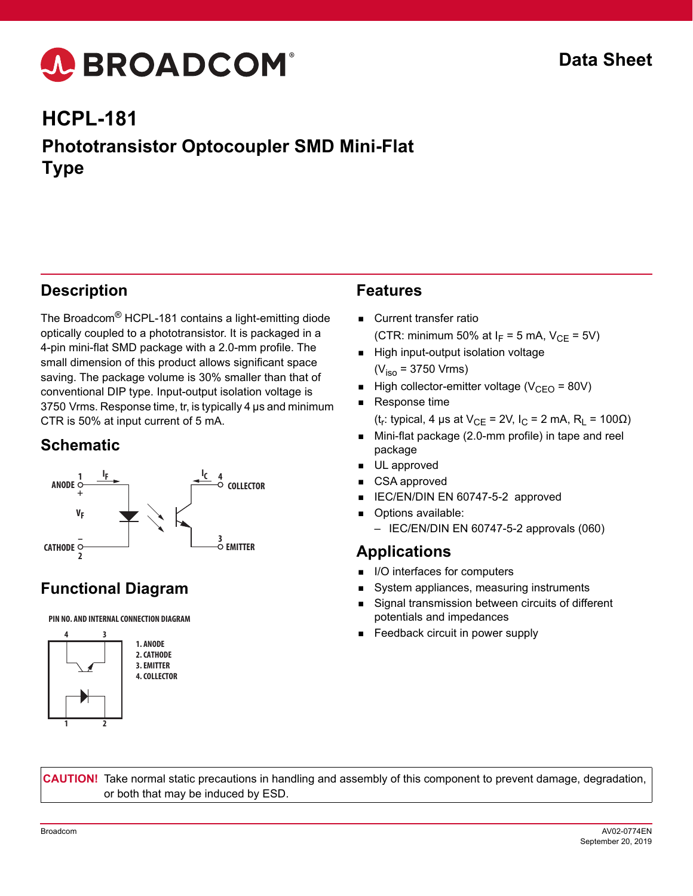# A BROADCOM®

# **HCPL-181 Phototransistor Optocoupler SMD Mini-Flat Type**

### **Description**

The Broadcom® HCPL-181 contains a light-emitting diode optically coupled to a phototransistor. It is packaged in a 4-pin mini-flat SMD package with a 2.0-mm profile. The small dimension of this product allows significant space saving. The package volume is 30% smaller than that of conventional DIP type. Input-output isolation voltage is 3750 Vrms. Response time, tr, is typically 4 µs and minimum CTR is 50% at input current of 5 mA.

#### **Schematic**



## **Functional Diagram**

#### **PIN NO. AND INTERNAL CONNECTION DIAGRAM**



**1. ANODE 2. CATHODE 3. EMITTER 4. COLLECTOR**

#### **Features**

- Current transfer ratio (CTR: minimum 50% at  $I_F = 5$  mA,  $V_{CF} = 5V$ )
- High input-output isolation voltage  $(V_{\text{iso}} = 3750 \text{ V} \text{rms})$
- High collector-emitter voltage ( $V_{CFO}$  = 80V)
- Response time (t<sub>r</sub>: typical, 4 µs at V<sub>CF</sub> = 2V, I<sub>C</sub> = 2 mA, R<sub>I</sub> = 100 $\Omega$ )
- Mini-flat package (2.0-mm profile) in tape and reel package
- **UL** approved
- CSA approved
- IEC/EN/DIN EN 60747-5-2 approved
- **Depayable:** Options available:
	- IEC/EN/DIN EN 60747-5-2 approvals (060)

#### **Applications**

- I/O interfaces for computers
- System appliances, measuring instruments
- Signal transmission between circuits of different potentials and impedances
- Feedback circuit in power supply

**CAUTION!** Take normal static precautions in handling and assembly of this component to prevent damage, degradation, or both that may be induced by ESD.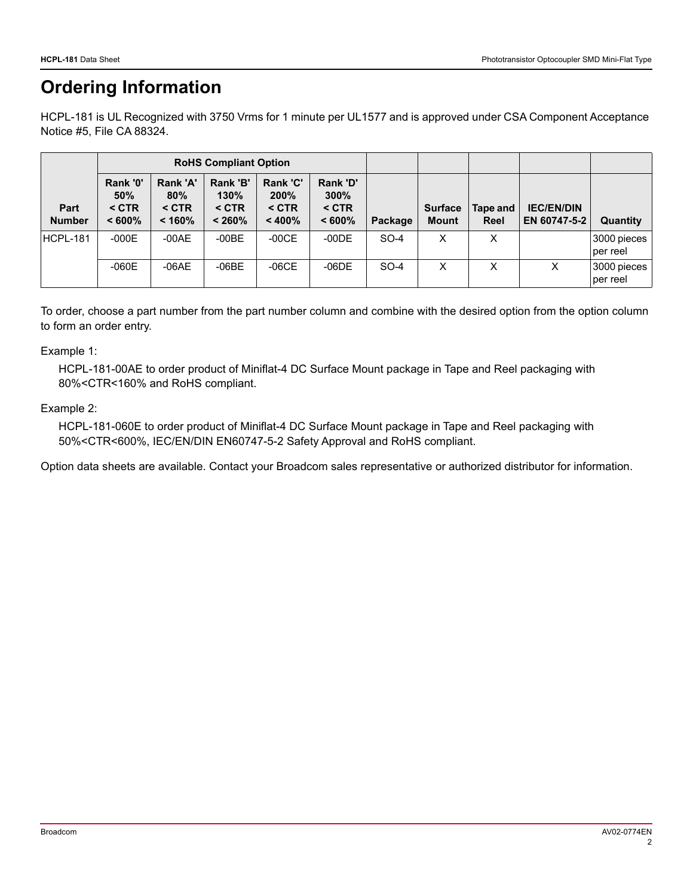## **Ordering Information**

HCPL-181 is UL Recognized with 3750 Vrms for 1 minute per UL1577 and is approved under CSA Component Acceptance Notice #5, File CA 88324.

|                              | <b>RoHS Compliant Option</b>            |                                      |                                       |                                       |                                                    |         |                                |                  |                                   |                         |
|------------------------------|-----------------------------------------|--------------------------------------|---------------------------------------|---------------------------------------|----------------------------------------------------|---------|--------------------------------|------------------|-----------------------------------|-------------------------|
| <b>Part</b><br><b>Number</b> | Rank '0'<br>50%<br>$<$ CTR<br>$< 600\%$ | Rank 'A'<br>80%<br>$<$ CTR<br>< 160% | Rank 'B'<br>130%<br>$<$ CTR<br>< 260% | Rank 'C'<br>200%<br>$<$ CTR<br>< 400% | <b>Rank 'D'</b><br>$300\%$<br>$<$ CTR<br>$< 600\%$ | Package | <b>Surface</b><br><b>Mount</b> | Tape and<br>Reel | <b>IEC/EN/DIN</b><br>EN 60747-5-2 | Quantity                |
| HCPL-181                     | $-000E$                                 | $-00AE$                              | $-00BE$                               | $-00CE$                               | $-00DE$                                            | SO-4    | x                              | X                |                                   | 3000 pieces<br>per reel |
|                              | $-060E$                                 | $-06AE$                              | $-06BE$                               | $-06CE$                               | $-06DE$                                            | $SO-4$  | x                              | x                |                                   | 3000 pieces<br>per reel |

To order, choose a part number from the part number column and combine with the desired option from the option column to form an order entry.

#### Example 1:

HCPL-181-00AE to order product of Miniflat-4 DC Surface Mount package in Tape and Reel packaging with 80%<CTR<160% and RoHS compliant.

#### Example 2:

HCPL-181-060E to order product of Miniflat-4 DC Surface Mount package in Tape and Reel packaging with 50%<CTR<600%, IEC/EN/DIN EN60747-5-2 Safety Approval and RoHS compliant.

Option data sheets are available. Contact your Broadcom sales representative or authorized distributor for information.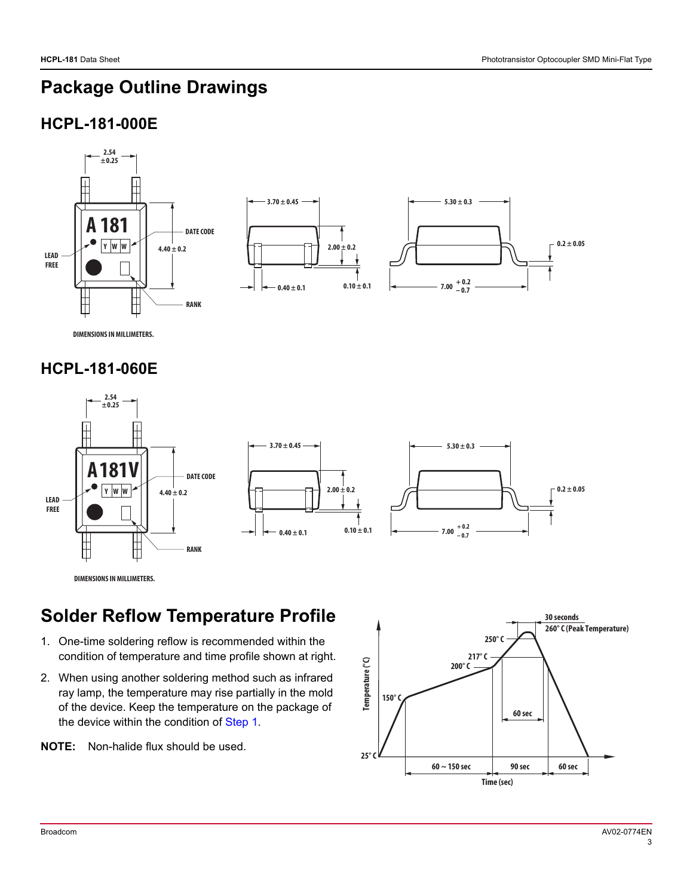## **Package Outline Drawings**

## **HCPL-181-000E**



**DIMENSIONS IN MILLIMETERS.**

#### **HCPL-181-060E**



**DIMENSIONS IN MILLIMETERS.**

## **Solder Reflow Temperature Profile**

- <span id="page-2-0"></span>1. One-time soldering reflow is recommended within the condition of temperature and time profile shown at right.
- 2. When using another soldering method such as infrared ray lamp, the temperature may rise partially in the mold of the device. Keep the temperature on the package of the device within the condition of [Step 1.](#page-2-0)
- **NOTE:** Non-halide flux should be used.

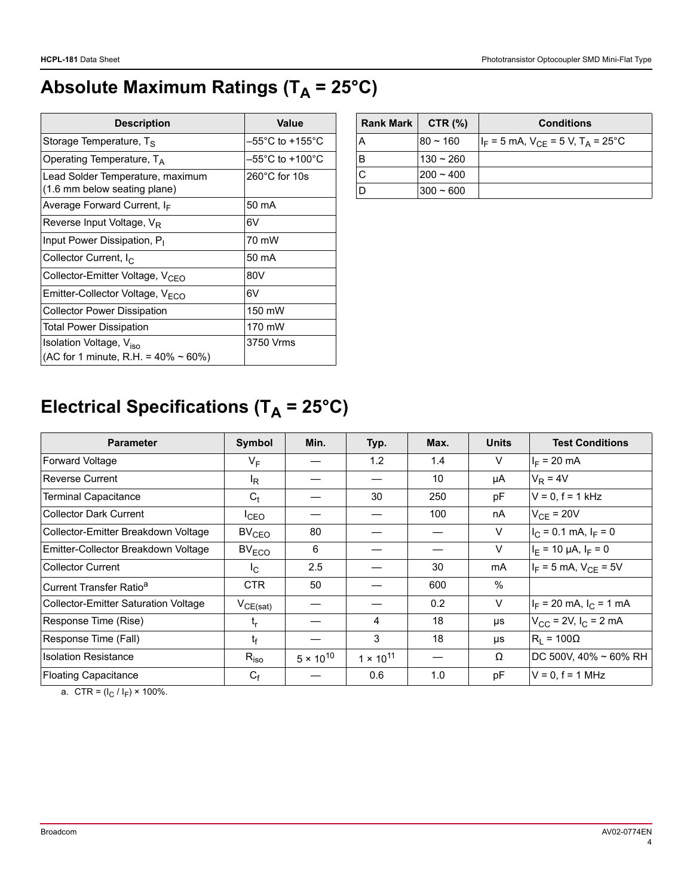# Absolute Maximum Ratings (T<sub>A</sub> = 25°C)

| <b>Description</b>                                                                 | Value                                |  |  |
|------------------------------------------------------------------------------------|--------------------------------------|--|--|
| Storage Temperature, $T_S$                                                         | $-55^{\circ}$ C to +155 $^{\circ}$ C |  |  |
| Operating Temperature, $T_A$                                                       | $-55^{\circ}$ C to +100 $^{\circ}$ C |  |  |
| Lead Solder Temperature, maximum<br>(1.6 mm below seating plane)                   | $260^{\circ}$ C for 10s              |  |  |
| Average Forward Current, $I_F$                                                     | 50 mA                                |  |  |
| Reverse Input Voltage, V <sub>R</sub>                                              | 6V                                   |  |  |
| Input Power Dissipation, P <sub>I</sub>                                            | 70 mW                                |  |  |
| Collector Current, $I_{\rm C}$                                                     | 50 mA                                |  |  |
| Collector-Emitter Voltage, V <sub>CEO</sub>                                        | 80V                                  |  |  |
| Emitter-Collector Voltage, V <sub>FCO</sub>                                        | 6V                                   |  |  |
| <b>Collector Power Dissipation</b>                                                 | 150 mW                               |  |  |
| <b>Total Power Dissipation</b>                                                     | 170 mW                               |  |  |
| Isolation Voltage, V <sub>iso</sub><br>(AC for 1 minute, R.H. = $40\% \sim 60\%$ ) | 3750 Vrms                            |  |  |

| Rank Mark | CTR $(%)$   | <b>Conditions</b>                                    |
|-----------|-------------|------------------------------------------------------|
| А         | $80 - 160$  | $ I_F = 5$ mA, $V_{CF} = 5$ V, T <sub>A</sub> = 25°C |
| в         | $130 - 260$ |                                                      |
|           | $200 - 400$ |                                                      |
|           | $300 - 600$ |                                                      |

# **Electrical Specifications (T<sub>A</sub> = 25°C)**

| <b>Parameter</b>                            | Symbol            | Min.               | Typ.               | Max. | <b>Units</b> | <b>Test Conditions</b>       |
|---------------------------------------------|-------------------|--------------------|--------------------|------|--------------|------------------------------|
| Forward Voltage                             | $V_F$             |                    | 1.2                | 1.4  | V            | $I_F = 20$ mA                |
| <b>Reverse Current</b>                      | l <sub>R</sub>    |                    |                    | 10   | μA           | $V_R = 4V$                   |
| <b>Terminal Capacitance</b>                 | $C_t$             |                    | 30                 | 250  | рF           | $V = 0$ , $f = 1$ kHz        |
| <b>Collector Dark Current</b>               | <sup>I</sup> CEO  |                    |                    | 100  | nA           | $V_{CF}$ = 20V               |
| Collector-Emitter Breakdown Voltage         | BV <sub>CEO</sub> | 80                 |                    |      | V            | $I_C = 0.1$ mA, $I_F = 0$    |
| Emitter-Collector Breakdown Voltage         | BV <sub>ECO</sub> | 6                  |                    |      | $\vee$       | $I_F = 10 \mu A$ , $I_F = 0$ |
| <b>Collector Current</b>                    | $I_{C}$           | 2.5                |                    | 30   | mA           | $I_F = 5$ mA, $V_{CF} = 5V$  |
| Current Transfer Ratio <sup>a</sup>         | <b>CTR</b>        | 50                 |                    | 600  | $\%$         |                              |
| <b>Collector-Emitter Saturation Voltage</b> | $V_{CE(sat)}$     |                    |                    | 0.2  | V            | $I_F$ = 20 mA, $I_C$ = 1 mA  |
| Response Time (Rise)                        | t <sub>r</sub>    |                    | 4                  | 18   | μs           | $V_{CC}$ = 2V, $I_C$ = 2 mA  |
| Response Time (Fall)                        | t <sub>f</sub>    |                    | 3                  | 18   | μs           | $R_1 = 100\Omega$            |
| <b>Isolation Resistance</b>                 | $R_{iso}$         | $5 \times 10^{10}$ | $1 \times 10^{11}$ |      | Ω            | DC 500V, 40% ~ 60% RH        |
| <b>Floating Capacitance</b>                 | $C_f$             |                    | 0.6                | 1.0  | рF           | $V = 0$ , $f = 1$ MHz        |

a. CTR =  $(I_C / I_F) \times 100\%$ .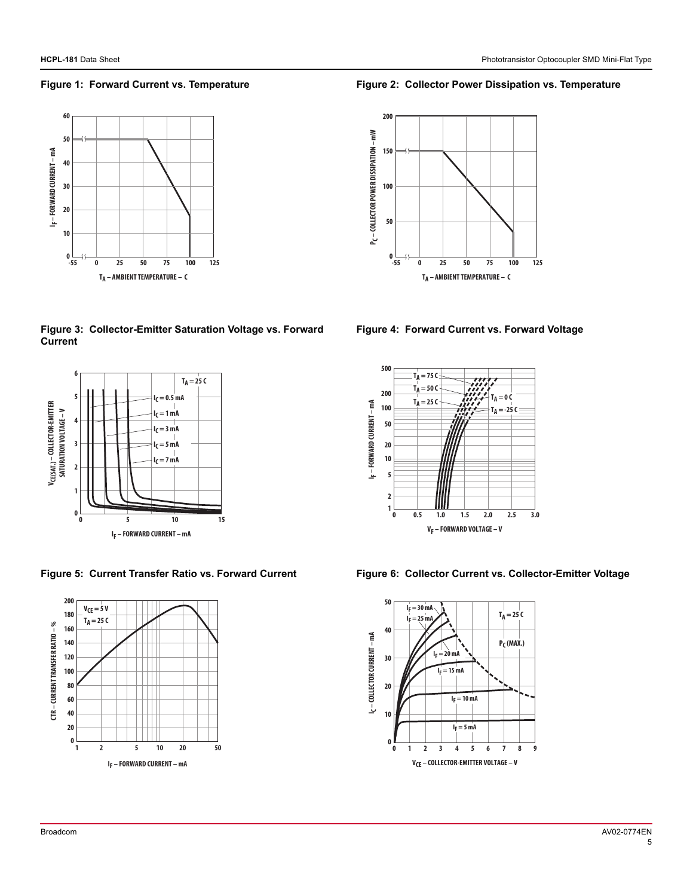#### **Figure 1: Forward Current vs. Temperature Figure 2: Collector Power Dissipation vs. Temperature**



**Figure 3: Collector-Emitter Saturation Voltage vs. Forward Current**







**Figure 4: Forward Current vs. Forward Voltage**



Figure 5: Current Transfer Ratio vs. Forward Current Figure 6: Collector Current vs. Collector-Emitter Voltage

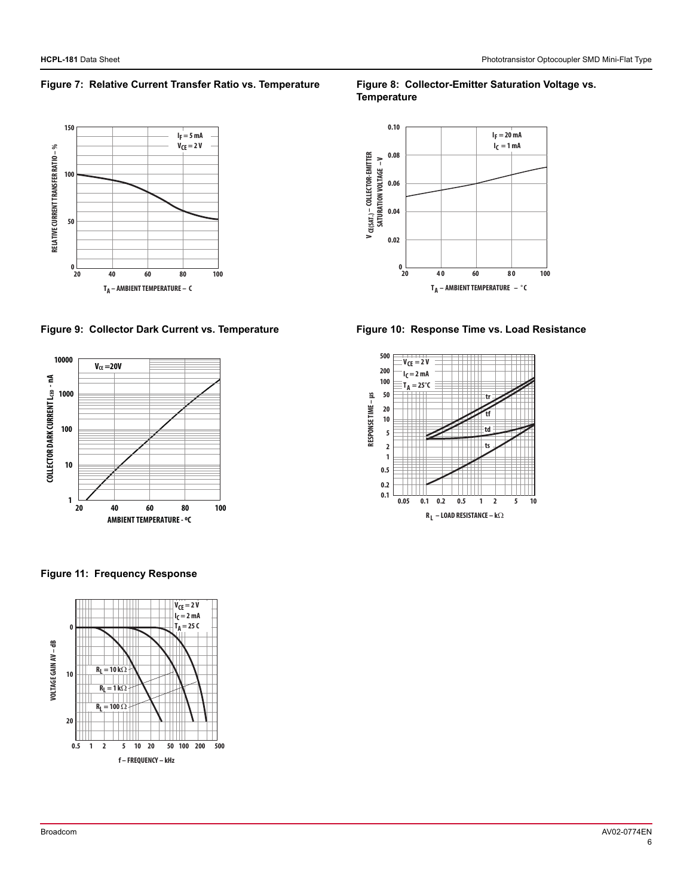#### Figure 7: Relative Current Transfer Ratio vs. Temperature Figure 8: Collector-Emitter Saturation Voltage vs.



#### Figure 9: Collector Dark Current vs. Temperature Figure 10: Response Time vs. Load Resistance



# **Temperature**





**Figure 11: Frequency Response**

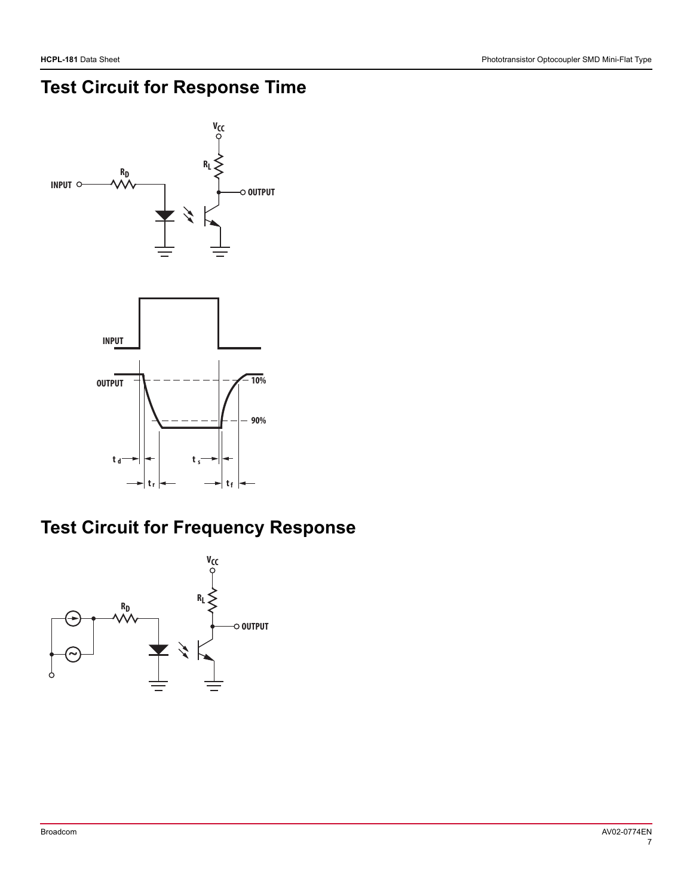# **Test Circuit for Response Time**



## **Test Circuit for Frequency Response**